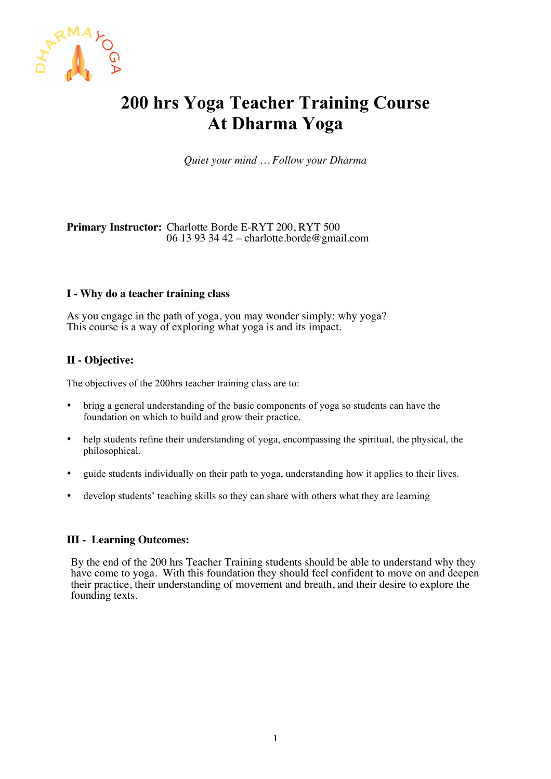

# **200 hrs Yoga Teacher Training Course At Dharma Yoga**

*Quiet your mind … Follow your Dharma*

## **Primary Instructor:** Charlotte Borde E-RYT 200, RYT 500 06 13 93 34 42 – charlotte.borde@gmail.com

#### **I - Why do a teacher training class**

As you engage in the path of yoga, you may wonder simply: why yoga? This course is a way of exploring what yoga is and its impact.

## **II - Objective:**

The objectives of the 200hrs teacher training class are to:

- bring a general understanding of the basic components of yoga so students can have the foundation on which to build and grow their practice.
- help students refine their understanding of yoga, encompassing the spiritual, the physical, the philosophical.
- guide students individually on their path to yoga, understanding how it applies to their lives.
- develop students' teaching skills so they can share with others what they are learning

# **III - Learning Outcomes:**

By the end of the 200 hrs Teacher Training students should be able to understand why they have come to yoga. With this foundation they should feel confident to move on and deepen their practice, their understanding of movement and breath, and their desire to explore the founding texts.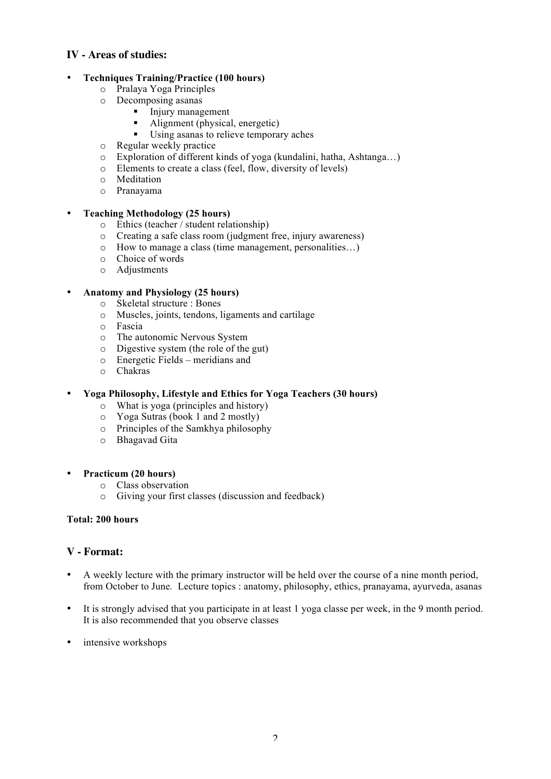# **IV - Areas of studies:**

## • **Techniques Training/Practice (100 hours)**

- o Pralaya Yoga Principles
- o Decomposing asanas
	- **Injury management** 
		- Alignment (physical, energetic)
		- ! Using asanas to relieve temporary aches
- o Regular weekly practice
- o Exploration of different kinds of yoga (kundalini, hatha, Ashtanga…)
- o Elements to create a class (feel, flow, diversity of levels)
- o Meditation
- o Pranayama

#### • **Teaching Methodology (25 hours)**

- o Ethics (teacher / student relationship)
- o Creating a safe class room (judgment free, injury awareness)
- o How to manage a class (time management, personalities…)
- o Choice of words
- o Adjustments

# • **Anatomy and Physiology (25 hours)**

- o Skeletal structure : Bones
- o Muscles, joints, tendons, ligaments and cartilage
- o Fascia
- o The autonomic Nervous System<br>
o Digestive system (the role of the
- Digestive system (the role of the gut)
- o Energetic Fields meridians and
- o Chakras

## • **Yoga Philosophy, Lifestyle and Ethics for Yoga Teachers (30 hours)**

- o What is yoga (principles and history)
- o Yoga Sutras (book 1 and 2 mostly)
- o Principles of the Samkhya philosophy
- o Bhagavad Gita

#### • **Practicum (20 hours)**

- o Class observation
- o Giving your first classes (discussion and feedback)

#### **Total: 200 hours**

## **V - Format:**

- A weekly lecture with the primary instructor will be held over the course of a nine month period, from October to June*.* Lecture topics : anatomy, philosophy, ethics, pranayama, ayurveda, asanas
- It is strongly advised that you participate in at least 1 yoga classe per week, in the 9 month period. It is also recommended that you observe classes
- intensive workshops